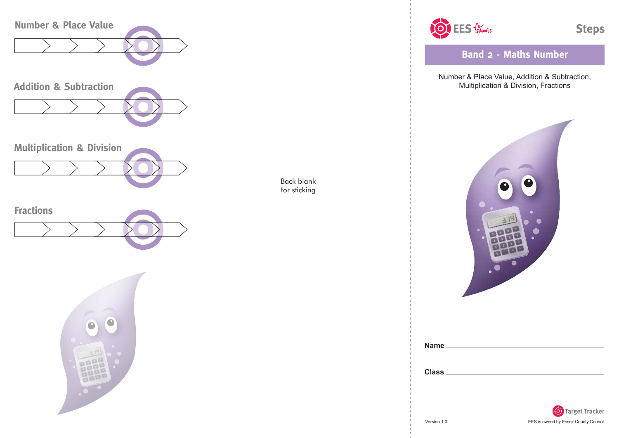

OF EES formoots

**Band 2 - Maths Number**

Number & Place Value, Addition & Subtraction, Multiplication & Division, Fractions



| <b>Name</b>  |  |  |  |
|--------------|--|--|--|
|              |  |  |  |
|              |  |  |  |
| <b>Class</b> |  |  |  |
|              |  |  |  |

Back blank for sticking